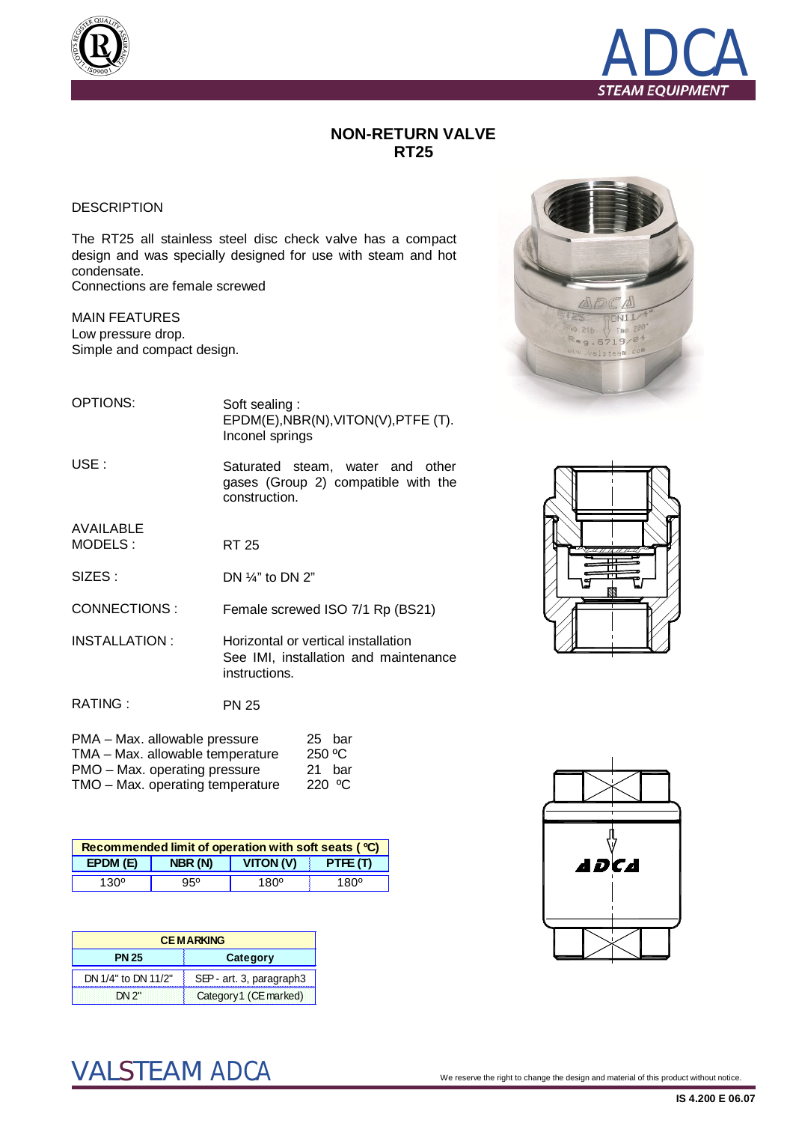



## **NON-RETURN VALVE RT25**

## DESCRIPTION

The RT25 all stainless steel disc check valve has a compact design and was specially designed for use with steam and hot condensate.

Connections are female screwed

MAIN FEATURES Low pressure drop. Simple and compact design.



| EPDM(E), NBR(N), VITON(V), PTFE(T). |
|-------------------------------------|
| Inconel springs                     |
|                                     |

USE : Saturated steam, water and other gases (Group 2) compatible with the construction.

AVAILABLE MODELS :

SIZES : DN ¼" to DN 2"

CONNECTIONS : Female screwed ISO 7/1 Rp (BS21)

RT 25

INSTALLATION : Horizontal or vertical installation See IMI, installation and maintenance instructions.

| RATING : | <b>PN 25</b> |
|----------|--------------|
|----------|--------------|

| 25 bar          |
|-----------------|
| 250 °C          |
| 21 bar          |
| 220 $\degree$ C |
|                 |

| Recommended limit of operation with soft seats ( °C) |         |                  |             |  |  |  |  |
|------------------------------------------------------|---------|------------------|-------------|--|--|--|--|
| EPDM(E)                                              | NBR (N) | <b>VITON (V)</b> | PTFE(T)     |  |  |  |  |
| $130^{\circ}$                                        | 95°     | 180 <sup>°</sup> | $180^\circ$ |  |  |  |  |

| <b>CEMARKING</b>    |                          |  |  |  |
|---------------------|--------------------------|--|--|--|
| <b>PN 25</b>        | Category                 |  |  |  |
| DN 1/4" to DN 11/2" | SEP - art. 3, paragraph3 |  |  |  |
| DN 2"               | Category1 (CE marked)    |  |  |  |





 $\text{VALSTEAM}$   $\text{ADCA}$   $^\circ$  . We reserve the right to change the design and material of this product without notice.